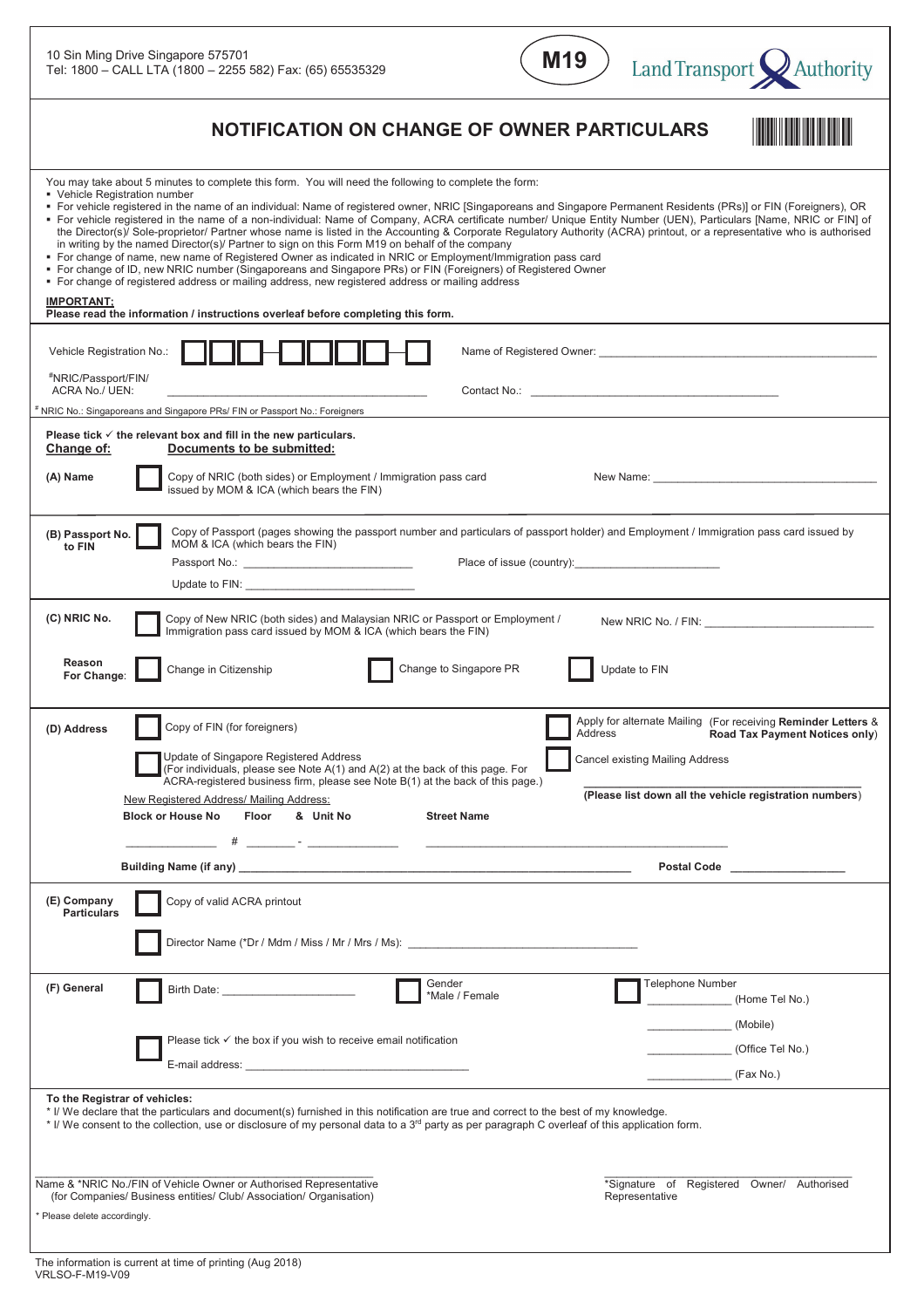

| NOTIFICATION ON CHANGE OF OWNER PARTICULARS                                                                                                                                                                                                                                                                                                                                                                                                                                                                                                                                                                                                                                                                                                                                                                                                                                                                                                                                                                                                                                                                                                                                                                  |                                                                                                                                                            |
|--------------------------------------------------------------------------------------------------------------------------------------------------------------------------------------------------------------------------------------------------------------------------------------------------------------------------------------------------------------------------------------------------------------------------------------------------------------------------------------------------------------------------------------------------------------------------------------------------------------------------------------------------------------------------------------------------------------------------------------------------------------------------------------------------------------------------------------------------------------------------------------------------------------------------------------------------------------------------------------------------------------------------------------------------------------------------------------------------------------------------------------------------------------------------------------------------------------|------------------------------------------------------------------------------------------------------------------------------------------------------------|
| You may take about 5 minutes to complete this form. You will need the following to complete the form:<br>• Vehicle Registration number<br>■ For vehicle registered in the name of an individual: Name of registered owner, NRIC [Singaporeans and Singapore Permanent Residents (PRs)] or FIN (Foreigners), OR<br>For vehicle registered in the name of a non-individual: Name of Company, ACRA certificate number/ Unique Entity Number (UEN), Particulars [Name, NRIC or FIN] of<br>the Director(s)/ Sole-proprietor/ Partner whose name is listed in the Accounting & Corporate Regulatory Authority (ACRA) printout, or a representative who is authorised<br>in writing by the named Director(s)/ Partner to sign on this Form M19 on behalf of the company<br>• For change of name, new name of Registered Owner as indicated in NRIC or Employment/Immigration pass card<br>■ For change of ID, new NRIC number (Singaporeans and Singapore PRs) or FIN (Foreigners) of Registered Owner<br>• For change of registered address or mailing address, new registered address or mailing address<br><b>IMPORTANT:</b><br>Please read the information / instructions overleaf before completing this form. |                                                                                                                                                            |
| Vehicle Registration No.:<br>Name of Registered Owner: Name of Registered Owner:                                                                                                                                                                                                                                                                                                                                                                                                                                                                                                                                                                                                                                                                                                                                                                                                                                                                                                                                                                                                                                                                                                                             |                                                                                                                                                            |
| #NRIC/Passport/FIN/<br>ACRA No./ UEN:<br>Contact No.: Contact No.:<br>NRIC No.: Singaporeans and Singapore PRs/ FIN or Passport No.: Foreigners                                                                                                                                                                                                                                                                                                                                                                                                                                                                                                                                                                                                                                                                                                                                                                                                                                                                                                                                                                                                                                                              |                                                                                                                                                            |
| Please tick $\checkmark$ the relevant box and fill in the new particulars.<br>Documents to be submitted:<br>Change of:<br>Copy of NRIC (both sides) or Employment / Immigration pass card<br>(A) Name<br>issued by MOM & ICA (which bears the FIN)                                                                                                                                                                                                                                                                                                                                                                                                                                                                                                                                                                                                                                                                                                                                                                                                                                                                                                                                                           |                                                                                                                                                            |
| Copy of Passport (pages showing the passport number and particulars of passport holder) and Employment / Immigration pass card issued by<br>(B) Passport No.<br>MOM & ICA (which bears the FIN)<br>to FIN<br>Passport No.: <u>_______________________________</u>                                                                                                                                                                                                                                                                                                                                                                                                                                                                                                                                                                                                                                                                                                                                                                                                                                                                                                                                            |                                                                                                                                                            |
| (C) NRIC No.<br>Copy of New NRIC (both sides) and Malaysian NRIC or Passport or Employment /<br>Immigration pass card issued by MOM & ICA (which bears the FIN)                                                                                                                                                                                                                                                                                                                                                                                                                                                                                                                                                                                                                                                                                                                                                                                                                                                                                                                                                                                                                                              | New NRIC No. / FIN: New NRIC No. / FIN:                                                                                                                    |
| Reason<br>Change to Singapore PR<br>Change in Citizenship<br>Update to FIN<br>For Change:                                                                                                                                                                                                                                                                                                                                                                                                                                                                                                                                                                                                                                                                                                                                                                                                                                                                                                                                                                                                                                                                                                                    |                                                                                                                                                            |
| Copy of FIN (for foreigners)<br>(D) Address<br>Address<br>Update of Singapore Registered Address<br>Cancel existing Mailing Address<br>(For individuals, please see Note A(1) and A(2) at the back of this page. For<br>ACRA-registered business firm, please see Note B(1) at the back of this page.)<br>New Registered Address/ Mailing Address:<br><b>Block or House No</b><br>Floor<br>& Unit No<br><b>Street Name</b>                                                                                                                                                                                                                                                                                                                                                                                                                                                                                                                                                                                                                                                                                                                                                                                   | Apply for alternate Mailing (For receiving Reminder Letters &<br>Road Tax Payment Notices only)<br>(Please list down all the vehicle registration numbers) |
| the control of the control of the control of                                                                                                                                                                                                                                                                                                                                                                                                                                                                                                                                                                                                                                                                                                                                                                                                                                                                                                                                                                                                                                                                                                                                                                 | <b>Postal Code</b>                                                                                                                                         |
| (E) Company<br>Copy of valid ACRA printout<br><b>Particulars</b><br>Director Name (*Dr / Mdm / Miss / Mr / Mrs / Ms):                                                                                                                                                                                                                                                                                                                                                                                                                                                                                                                                                                                                                                                                                                                                                                                                                                                                                                                                                                                                                                                                                        |                                                                                                                                                            |
| Gender<br>(F) General<br>*Male / Female                                                                                                                                                                                                                                                                                                                                                                                                                                                                                                                                                                                                                                                                                                                                                                                                                                                                                                                                                                                                                                                                                                                                                                      | Telephone Number<br>(Home Tel No.)                                                                                                                         |
| Please tick $\checkmark$ the box if you wish to receive email notification                                                                                                                                                                                                                                                                                                                                                                                                                                                                                                                                                                                                                                                                                                                                                                                                                                                                                                                                                                                                                                                                                                                                   | (Mobile)<br>(Office Tel No.)<br>(Fax No.)                                                                                                                  |
| To the Registrar of vehicles:<br>* I/ We declare that the particulars and document(s) furnished in this notification are true and correct to the best of my knowledge.<br>* I/ We consent to the collection, use or disclosure of my personal data to a 3 <sup>rd</sup> party as per paragraph C overleaf of this application form.<br>Name & *NRIC No./FIN of Vehicle Owner or Authorised Representative                                                                                                                                                                                                                                                                                                                                                                                                                                                                                                                                                                                                                                                                                                                                                                                                    | *Signature of Registered Owner/ Authorised                                                                                                                 |
| (for Companies/ Business entities/ Club/ Association/ Organisation)<br>Representative<br>* Please delete accordingly.                                                                                                                                                                                                                                                                                                                                                                                                                                                                                                                                                                                                                                                                                                                                                                                                                                                                                                                                                                                                                                                                                        |                                                                                                                                                            |